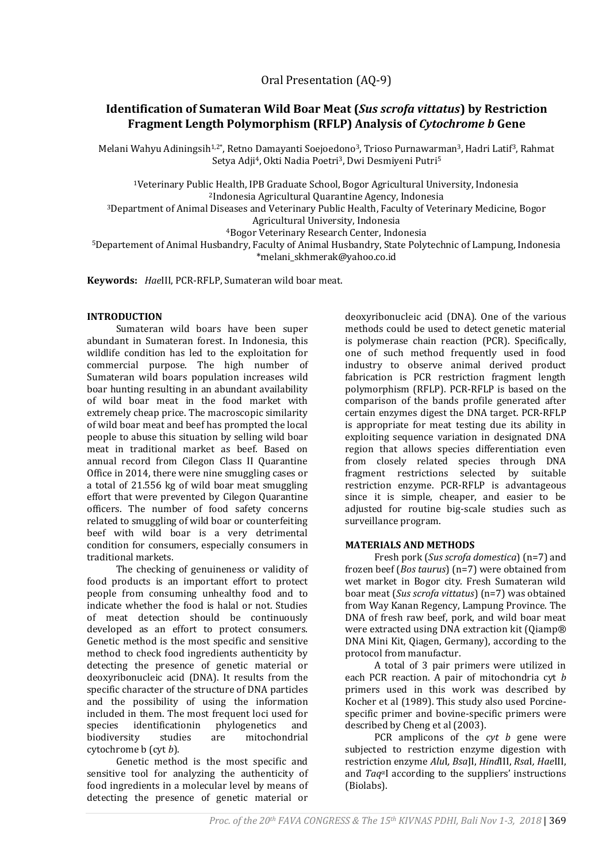# **Identification of Sumateran Wild Boar Meat (***Sus scrofa vittatus***) by Restriction Fragment Length Polymorphism (RFLP) Analysis of** *Cytochrome b* **Gene**

Melani Wahyu Adiningsih<sup>1,2\*</sup>, Retno Damayanti Soejoedono<sup>3</sup>, Trioso Purnawarman<sup>3</sup>, Hadri Latif<sup>3</sup>, Rahmat Setya Adji<sup>4</sup>, Okti Nadia Poetri<sup>3</sup>, Dwi Desmiyeni Putri<sup>5</sup>

<sup>1</sup>Veterinary Public Health, IPB Graduate School, Bogor Agricultural University, Indonesia <sup>2</sup>Indonesia Agricultural Quarantine Agency, Indonesia

<sup>3</sup>Department of Animal Diseases and Veterinary Public Health, Faculty of Veterinary Medicine, Bogor Agricultural University, Indonesia

<sup>4</sup>Bogor Veterinary Research Center, Indonesia

<sup>5</sup>Departement of Animal Husbandry, Faculty of Animal Husbandry, State Polytechnic of Lampung, Indonesia \*melani\_skhmerak@yahoo.co.id

**Keywords:** *Hae*III, PCR-RFLP, Sumateran wild boar meat.

## **INTRODUCTION**

Sumateran wild boars have been super abundant in Sumateran forest. In Indonesia, this wildlife condition has led to the exploitation for commercial purpose. The high number of Sumateran wild boars population increases wild boar hunting resulting in an abundant availability of wild boar meat in the food market with extremely cheap price. The macroscopic similarity of wild boar meat and beef has prompted the local people to abuse this situation by selling wild boar meat in traditional market as beef. Based on annual record from Cilegon Class II Quarantine Office in 2014, there were nine smuggling cases or a total of 21.556 kg of wild boar meat smuggling effort that were prevented by Cilegon Quarantine officers. The number of food safety concerns related to smuggling of wild boar or counterfeiting beef with wild boar is a very detrimental condition for consumers, especially consumers in traditional markets.

The checking of genuineness or validity of food products is an important effort to protect people from consuming unhealthy food and to indicate whether the food is halal or not. Studies of meat detection should be continuously developed as an effort to protect consumers. Genetic method is the most specific and sensitive method to check food ingredients authenticity by detecting the presence of genetic material or deoxyribonucleic acid (DNA). It results from the specific character of the structure of DNA particles and the possibility of using the information included in them. The most frequent loci used for species identificationin phylogenetics and biodiversity studies are mitochondrial cytochrome b (cyt *b*).

Genetic method is the most specific and sensitive tool for analyzing the authenticity of food ingredients in a molecular level by means of detecting the presence of genetic material or

deoxyribonucleic acid (DNA). One of the various methods could be used to detect genetic material is polymerase chain reaction (PCR). Specifically, one of such method frequently used in food industry to observe animal derived product fabrication is PCR restriction fragment length polymorphism (RFLP). PCR-RFLP is based on the comparison of the bands profile generated after certain enzymes digest the DNA target. PCR-RFLP is appropriate for meat testing due its ability in exploiting sequence variation in designated DNA region that allows species differentiation even from closely related species through DNA fragment restrictions selected by suitable restriction enzyme. PCR-RFLP is advantageous since it is simple, cheaper, and easier to be adjusted for routine big-scale studies such as surveillance program.

# **MATERIALS AND METHODS**

Fresh pork (*Sus scrofa domestica*) (n=7) and frozen beef (*Bos taurus*) (n=7) were obtained from wet market in Bogor city. Fresh Sumateran wild boar meat (*Sus scrofa vittatus*) (n=7) was obtained from Way Kanan Regency, Lampung Province. The DNA of fresh raw beef, pork, and wild boar meat were extracted using DNA extraction kit (Qiamp® DNA Mini Kit, Qiagen, Germany), according to the protocol from manufactur.

A total of 3 pair primers were utilized in each PCR reaction. A pair of mitochondria cyt *b*  primers used in this work was described by Kocher et al (1989). This study also used Porcinespecific primer and bovine-specific primers were described by Cheng et al (2003).

PCR amplicons of the *cyt b* gene were subjected to restriction enzyme digestion with restriction enzyme *Alu*I*, Bsa*JI, *Hind*III, *Rsa*I*, Hae*III, and *Taq*αI according to the suppliers' instructions (Biolabs).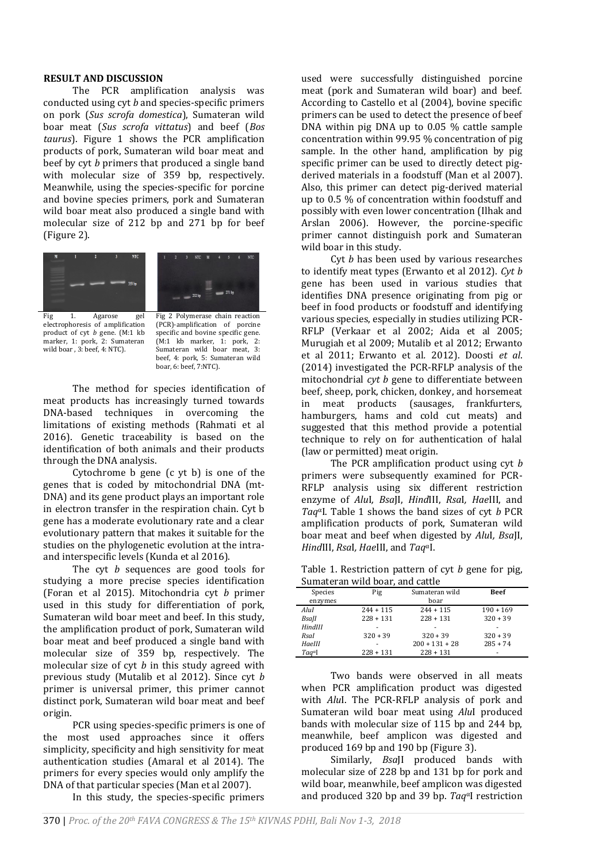#### **RESULT AND DISCUSSION**

The PCR amplification analysis was conducted using cyt *b* and species-specific primers on pork (*Sus scrofa domestica*), Sumateran wild boar meat (*Sus scrofa vittatus*) and beef (*Bos taurus*). Figure 1 shows the PCR amplification products of pork, Sumateran wild boar meat and beef by cyt *b* primers that produced a single band with molecular size of 359 bp, respectively. Meanwhile, using the species-specific for porcine and bovine species primers, pork and Sumateran wild boar meat also produced a single band with molecular size of 212 bp and 271 bp for beef (Figure 2).



electrophoresis of amplification product of cyt *b* gene. (M:1 kb marker, 1: pork, 2: Sumateran wild boar , 3: beef, 4: NTC).

(PCR)-amplification of porcine specific and bovine specific gene. (M:1 kb marker, 1: pork, 2: Sumateran wild boar meat, 3: beef, 4: pork, 5: Sumateran wild boar, 6: beef, 7:NTC).

The method for species identification of meat products has increasingly turned towards DNA-based techniques in overcoming the limitations of existing methods (Rahmati et al 2016). Genetic traceability is based on the identification of both animals and their products through the DNA analysis.

Cytochrome b gene (c yt b) is one of the genes that is coded by mitochondrial DNA (mt-DNA) and its gene product plays an important role in electron transfer in the respiration chain. Cyt b gene has a moderate evolutionary rate and a clear evolutionary pattern that makes it suitable for the studies on the phylogenetic evolution at the intraand interspecific levels (Kunda et al 2016).

The cyt *b* sequences are good tools for studying a more precise species identification (Foran et al 2015). Mitochondria cyt *b* primer used in this study for differentiation of pork, Sumateran wild boar meet and beef. In this study, the amplification product of pork, Sumateran wild boar meat and beef produced a single band with molecular size of 359 bp, respectively. The molecular size of cyt *b* in this study agreed with previous study (Mutalib et al 2012). Since cyt *b* primer is universal primer, this primer cannot distinct pork, Sumateran wild boar meat and beef origin.

PCR using species-specific primers is one of the most used approaches since it offers simplicity, specificity and high sensitivity for meat authentication studies (Amaral et al 2014). The primers for every species would only amplify the DNA of that particular species (Man et al 2007).

In this study, the species-specific primers

used were successfully distinguished porcine meat (pork and Sumateran wild boar) and beef. According to Castello et al (2004), bovine specific primers can be used to detect the presence of beef DNA within pig DNA up to 0.05 % cattle sample concentration within 99.95 % concentration of pig sample. In the other hand, amplification by pig specific primer can be used to directly detect pigderived materials in a foodstuff (Man et al 2007). Also, this primer can detect pig-derived material up to 0.5 % of concentration within foodstuff and possibly with even lower concentration (Ilhak and Arslan 2006). However, the porcine-specific primer cannot distinguish pork and Sumateran wild boar in this study.

Cyt *b* has been used by various researches to identify meat types (Erwanto et al 2012). *Cyt b* gene has been used in various studies that identifies DNA presence originating from pig or beef in food products or foodstuff and identifying various species, especially in studies utilizing PCR-RFLP (Verkaar et al 2002; Aida et al 2005; Murugiah et al 2009; Mutalib et al 2012; Erwanto et al 2011; Erwanto et al*.* 2012). Doosti *et al*. (2014) investigated the PCR-RFLP analysis of the mitochondrial *cyt b* gene to differentiate between beef, sheep, pork, chicken, donkey, and horsemeat in meat products (sausages, frankfurters, hamburgers, hams and cold cut meats) and suggested that this method provide a potential technique to rely on for authentication of halal (law or permitted) meat origin.

The PCR amplification product using cyt *b*  primers were subsequently examined for PCR-RFLP analysis using six different restriction enzyme of *Alu*I*, Bsa*JI, *Hind*III, *Rsa*I*, Hae*III, and *Taq*αI. Table 1 shows the band sizes of cyt *b* PCR amplification products of pork, Sumateran wild boar meat and beef when digested by *Alu*I*, Bsa*JI, *Hind*III, *Rsa*I*, Hae*III, and *Taq*αI.

Table 1. Restriction pattern of cyt *b* gene for pig, Sumateran wild boar, and cattle

| Species         | Pig         | Sumateran wild   | <b>Beef</b> |
|-----------------|-------------|------------------|-------------|
| enzymes         |             | boar             |             |
| AluI            | $244 + 115$ | $244 + 115$      | $190 + 169$ |
| <b>Bsall</b>    | $228 + 131$ | $228 + 131$      | $320 + 39$  |
| HindIII         |             |                  |             |
| Rsal            | $320 + 39$  | $320 + 39$       | $320 + 39$  |
| Haelll          |             | $200 + 131 + 28$ | $285 + 74$  |
| $Taa^{\alpha}I$ | $228 + 131$ | $228 + 131$      | ۰           |

Two bands were observed in all meats when PCR amplification product was digested with *Alu*I. The PCR-RFLP analysis of pork and Sumateran wild boar meat using *Alu*I produced bands with molecular size of 115 bp and 244 bp, meanwhile, beef amplicon was digested and produced 169 bp and 190 bp (Figure 3).

Similarly, *Bsa*JI produced bands with molecular size of 228 bp and 131 bp for pork and wild boar, meanwhile, beef amplicon was digested and produced 320 bp and 39 bp. *Taq*αI restriction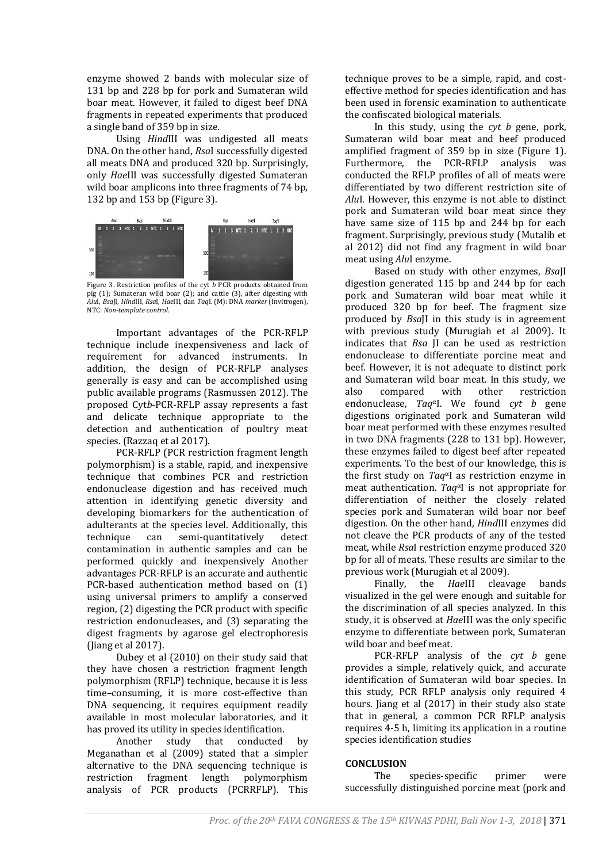enzyme showed 2 bands with molecular size of 131 bp and 228 bp for pork and Sumateran wild boar meat. However, it failed to digest beef DNA fragments in repeated experiments that produced a single band of 359 bp in size.

Using *Hind*III was undigested all meats DNA. On the other hand, *Rsa*I successfully digested all meats DNA and produced 320 bp. Surprisingly, only *Hae*III was successfully digested Sumateran wild boar amplicons into three fragments of 74 bp, 132 bp and 153 bp (Figure 3).



Figure 3. Restriction profiles of the cyt *b* PCR products obtained from pig (1); Sumateran wild boar (2); and cattle (3), after digesting with *Alu*I, *Bsa*JI, *Hind*III, *Rsa*I, *Hae*III, dan *Taq*I. (M): DNA *marker* (Invitrogen), NTC: *Non-template control*.

Important advantages of the PCR-RFLP technique include inexpensiveness and lack of requirement for advanced instruments. In addition, the design of PCR-RFLP analyses generally is easy and can be accomplished using public available programs (Rasmussen 2012). The proposed Cyt*b*-PCR-RFLP assay represents a fast and delicate technique appropriate to the detection and authentication of poultry meat species. (Razzaq et al 2017).

PCR-RFLP (PCR restriction fragment length polymorphism) is a stable, rapid, and inexpensive technique that combines PCR and restriction endonuclease digestion and has received much attention in identifying genetic diversity and developing biomarkers for the authentication of adulterants at the species level. Additionally, this technique can semi-quantitatively detect contamination in authentic samples and can be performed quickly and inexpensively Another advantages PCR-RFLP is an accurate and authentic PCR-based authentication method based on (1) using universal primers to amplify a conserved region, (2) digesting the PCR product with specific restriction endonucleases, and (3) separating the digest fragments by agarose gel electrophoresis (Jiang et al 2017).

Dubey et al (2010) on their study said that they have chosen a restriction fragment length polymorphism (RFLP) technique, because it is less time–consuming, it is more cost-effective than DNA sequencing, it requires equipment readily available in most molecular laboratories, and it has proved its utility in species identification.

Another study that conducted by Meganathan et al (2009) stated that a simpler alternative to the DNA sequencing technique is restriction fragment length polymorphism analysis of PCR products (PCRRFLP). This

technique proves to be a simple, rapid, and costeffective method for species identification and has been used in forensic examination to authenticate the confiscated biological materials.

In this study, using the *cyt b* gene, pork, Sumateran wild boar meat and beef produced amplified fragment of 359 bp in size (Figure 1). Furthermore, the PCR-RFLP analysis was conducted the RFLP profiles of all of meats were differentiated by two different restriction site of *Alu*I. However, this enzyme is not able to distinct pork and Sumateran wild boar meat since they have same size of 115 bp and 244 bp for each fragment. Surprisingly, previous study (Mutalib et al 2012) did not find any fragment in wild boar meat using *Alu*I enzyme.

Based on study with other enzymes, *Bsa*JI digestion generated 115 bp and 244 bp for each pork and Sumateran wild boar meat while it produced 320 bp for beef. The fragment size produced by *Bsa*JI in this study is in agreement with previous study (Murugiah et al 2009). It indicates that *Bsa* JI can be used as restriction endonuclease to differentiate porcine meat and beef. However, it is not adequate to distinct pork and Sumateran wild boar meat. In this study, we also compared with other restriction endonuclease, *Taq*αI. We found *cyt b* gene digestions originated pork and Sumateran wild boar meat performed with these enzymes resulted in two DNA fragments (228 to 131 bp). However, these enzymes failed to digest beef after repeated experiments. To the best of our knowledge, this is the first study on *Taq*αI as restriction enzyme in meat authentication. *Taq*αI is not appropriate for differentiation of neither the closely related species pork and Sumateran wild boar nor beef digestion. On the other hand, *Hind*III enzymes did not cleave the PCR products of any of the tested meat, while *Rsa*I restriction enzyme produced 320 bp for all of meats. These results are similar to the previous work (Murugiah et al 2009).

Finally, the *Hae*III cleavage bands visualized in the gel were enough and suitable for the discrimination of all species analyzed. In this study, it is observed at *Hae*III was the only specific enzyme to differentiate between pork, Sumateran wild boar and beef meat.

PCR-RFLP analysis of the *cyt b* gene provides a simple, relatively quick, and accurate identification of Sumateran wild boar species. In this study, PCR RFLP analysis only required 4 hours. Jiang et al (2017) in their study also state that in general, a common PCR RFLP analysis requires 4-5 h, limiting its application in a routine species identification studies

# **CONCLUSION**

The species-specific primer were successfully distinguished porcine meat (pork and